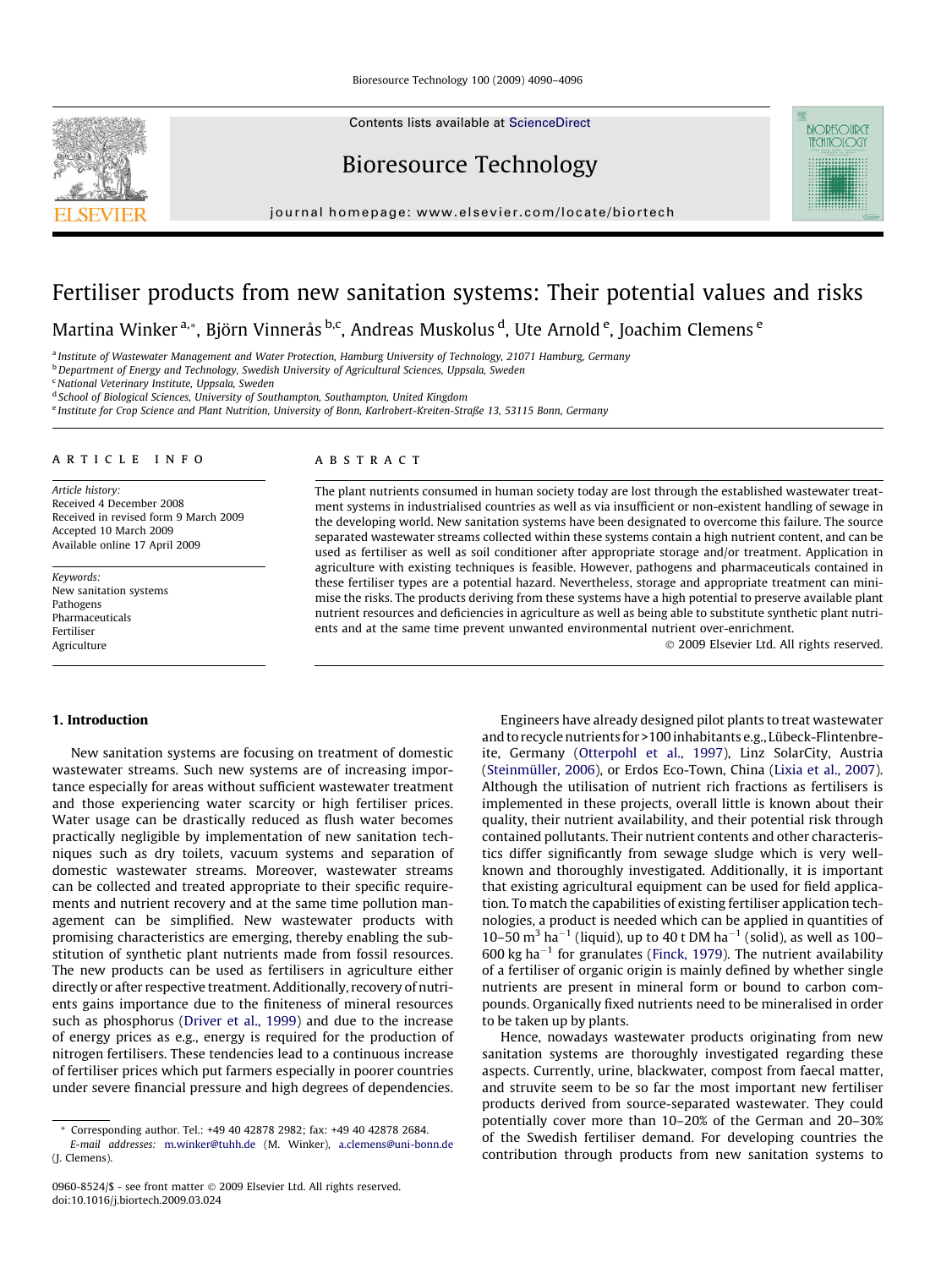Contents lists available at [ScienceDirect](http://www.sciencedirect.com/science/journal/09608524)

Bioresource Technology

journal homepage: [www.elsevier.com/locate/biortech](http://www.elsevier.com/locate/biortech)

# Fertiliser products from new sanitation systems: Their potential values and risks

Martina Winker <sup>a,</sup>\*, Björn Vinnerås <sup>b,c</sup>, Andreas Muskolus <sup>d</sup>, Ute Arnold <sup>e</sup>, Joachim Clemens <sup>e</sup>

a Institute of Wastewater Management and Water Protection, Hamburg University of Technology, 21071 Hamburg, Germany

b<br>Department of Energy and Technology, Swedish University of Agricultural Sciences, Uppsala, Sweden

<sup>c</sup> National Veterinary Institute, Uppsala, Sweden

<sup>d</sup> School of Biological Sciences, University of Southampton, Southampton, United Kingdom

<sup>e</sup> Institute for Crop Science and Plant Nutrition, University of Bonn, Karlrobert-Kreiten-Straße 13, 53115 Bonn, Germany

#### article info

Article history: Received 4 December 2008 Received in revised form 9 March 2009 Accepted 10 March 2009 Available online 17 April 2009

Keywords: New sanitation systems Pathogens Pharmaceuticals Fertiliser Agriculture

# ABSTRACT

The plant nutrients consumed in human society today are lost through the established wastewater treatment systems in industrialised countries as well as via insufficient or non-existent handling of sewage in the developing world. New sanitation systems have been designated to overcome this failure. The source separated wastewater streams collected within these systems contain a high nutrient content, and can be used as fertiliser as well as soil conditioner after appropriate storage and/or treatment. Application in agriculture with existing techniques is feasible. However, pathogens and pharmaceuticals contained in these fertiliser types are a potential hazard. Nevertheless, storage and appropriate treatment can minimise the risks. The products deriving from these systems have a high potential to preserve available plant nutrient resources and deficiencies in agriculture as well as being able to substitute synthetic plant nutrients and at the same time prevent unwanted environmental nutrient over-enrichment.

- 2009 Elsevier Ltd. All rights reserved.

**BIORESOURCE TFCHIIOIOGY** 

# 1. Introduction

New sanitation systems are focusing on treatment of domestic wastewater streams. Such new systems are of increasing importance especially for areas without sufficient wastewater treatment and those experiencing water scarcity or high fertiliser prices. Water usage can be drastically reduced as flush water becomes practically negligible by implementation of new sanitation techniques such as dry toilets, vacuum systems and separation of domestic wastewater streams. Moreover, wastewater streams can be collected and treated appropriate to their specific requirements and nutrient recovery and at the same time pollution management can be simplified. New wastewater products with promising characteristics are emerging, thereby enabling the substitution of synthetic plant nutrients made from fossil resources. The new products can be used as fertilisers in agriculture either directly or after respective treatment. Additionally, recovery of nutrients gains importance due to the finiteness of mineral resources such as phosphorus [\(Driver et al., 1999](#page-5-0)) and due to the increase of energy prices as e.g., energy is required for the production of nitrogen fertilisers. These tendencies lead to a continuous increase of fertiliser prices which put farmers especially in poorer countries under severe financial pressure and high degrees of dependencies.

Engineers have already designed pilot plants to treat wastewater and to recycle nutrients for >100 inhabitants e.g., Lübeck-Flintenbreite, Germany [\(Otterpohl et al., 1997\)](#page-5-0), Linz SolarCity, Austria ([Steinmüller, 2006](#page-6-0)), or Erdos Eco-Town, China ([Lixia et al., 2007\)](#page-5-0). Although the utilisation of nutrient rich fractions as fertilisers is implemented in these projects, overall little is known about their quality, their nutrient availability, and their potential risk through contained pollutants. Their nutrient contents and other characteristics differ significantly from sewage sludge which is very wellknown and thoroughly investigated. Additionally, it is important that existing agricultural equipment can be used for field application. To match the capabilities of existing fertiliser application technologies, a product is needed which can be applied in quantities of 10–50 m<sup>3</sup> ha<sup>-1</sup> (liquid), up to 40 t DM ha<sup>-1</sup> (solid), as well as 100–  $600$  kg ha<sup> $-1$ </sup> for granulates [\(Finck, 1979](#page-5-0)). The nutrient availability of a fertiliser of organic origin is mainly defined by whether single nutrients are present in mineral form or bound to carbon compounds. Organically fixed nutrients need to be mineralised in order to be taken up by plants.

Hence, nowadays wastewater products originating from new sanitation systems are thoroughly investigated regarding these aspects. Currently, urine, blackwater, compost from faecal matter, and struvite seem to be so far the most important new fertiliser products derived from source-separated wastewater. They could potentially cover more than 10–20% of the German and 20–30% of the Swedish fertiliser demand. For developing countries the contribution through products from new sanitation systems to



<sup>\*</sup> Corresponding author. Tel.: +49 40 42878 2982; fax: +49 40 42878 2684. E-mail addresses: [m.winker@tuhh.de](mailto:m.winker@tuhh.de) (M. Winker), [a.clemens@uni-bonn.de](mailto:a.clemens@uni-bonn.de) (J. Clemens).

<sup>0960-8524/\$ -</sup> see front matter © 2009 Elsevier Ltd. All rights reserved. doi:10.1016/j.biortech.2009.03.024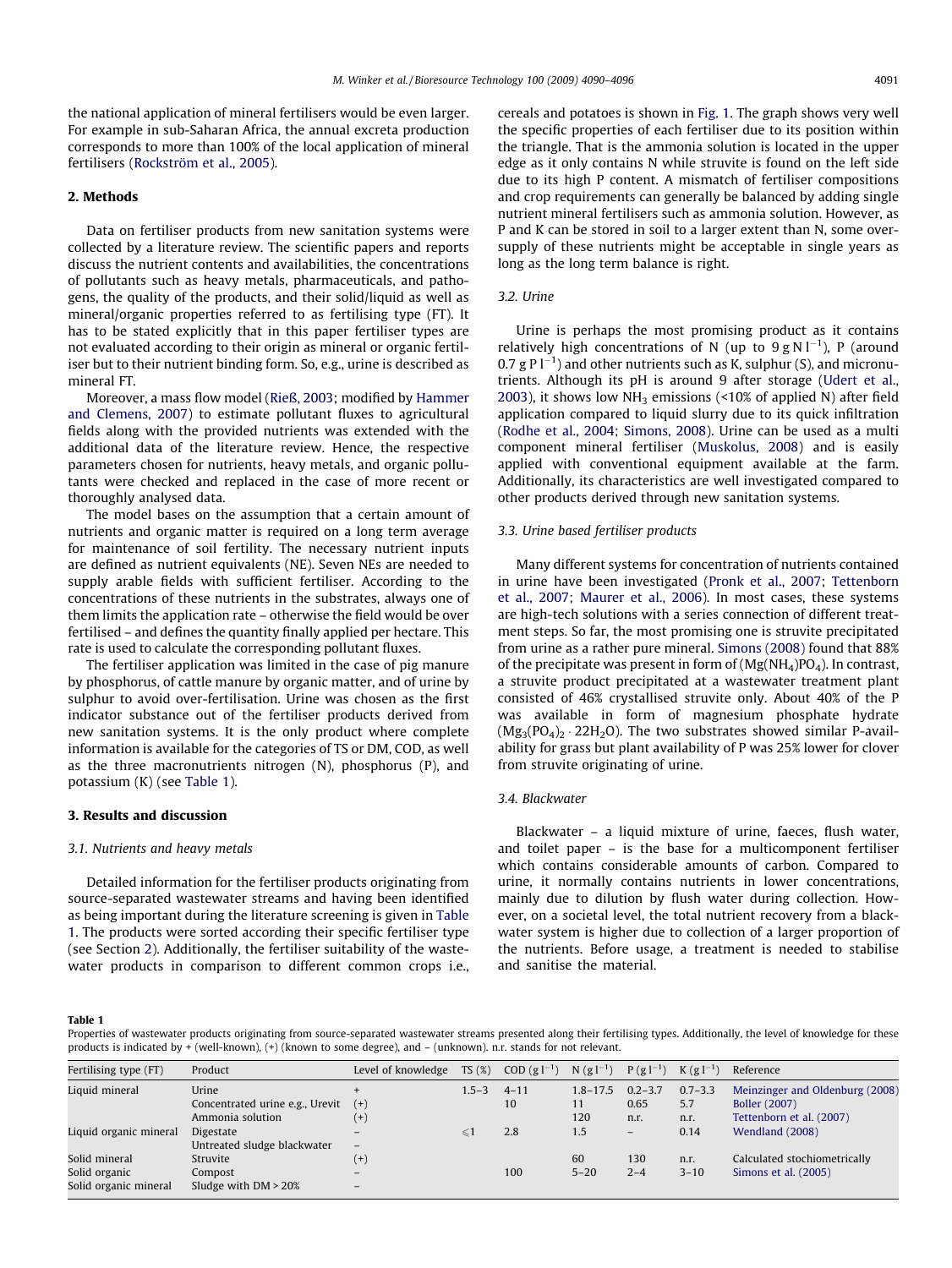<span id="page-1-0"></span>the national application of mineral fertilisers would be even larger. For example in sub-Saharan Africa, the annual excreta production corresponds to more than 100% of the local application of mineral fertilisers ([Rockström et al., 2005\)](#page-5-0).

# 2. Methods

Data on fertiliser products from new sanitation systems were collected by a literature review. The scientific papers and reports discuss the nutrient contents and availabilities, the concentrations of pollutants such as heavy metals, pharmaceuticals, and pathogens, the quality of the products, and their solid/liquid as well as mineral/organic properties referred to as fertilising type (FT). It has to be stated explicitly that in this paper fertiliser types are not evaluated according to their origin as mineral or organic fertiliser but to their nutrient binding form. So, e.g., urine is described as mineral FT.

Moreover, a mass flow model [\(Rieß, 2003;](#page-5-0) modified by [Hammer](#page-5-0) [and Clemens, 2007\)](#page-5-0) to estimate pollutant fluxes to agricultural fields along with the provided nutrients was extended with the additional data of the literature review. Hence, the respective parameters chosen for nutrients, heavy metals, and organic pollutants were checked and replaced in the case of more recent or thoroughly analysed data.

The model bases on the assumption that a certain amount of nutrients and organic matter is required on a long term average for maintenance of soil fertility. The necessary nutrient inputs are defined as nutrient equivalents (NE). Seven NEs are needed to supply arable fields with sufficient fertiliser. According to the concentrations of these nutrients in the substrates, always one of them limits the application rate – otherwise the field would be over fertilised – and defines the quantity finally applied per hectare. This rate is used to calculate the corresponding pollutant fluxes.

The fertiliser application was limited in the case of pig manure by phosphorus, of cattle manure by organic matter, and of urine by sulphur to avoid over-fertilisation. Urine was chosen as the first indicator substance out of the fertiliser products derived from new sanitation systems. It is the only product where complete information is available for the categories of TS or DM, COD, as well as the three macronutrients nitrogen (N), phosphorus (P), and potassium (K) (see Table 1).

# 3. Results and discussion

# 3.1. Nutrients and heavy metals

Detailed information for the fertiliser products originating from source-separated wastewater streams and having been identified as being important during the literature screening is given in Table 1. The products were sorted according their specific fertiliser type (see Section 2). Additionally, the fertiliser suitability of the wastewater products in comparison to different common crops i.e., cereals and potatoes is shown in [Fig. 1.](#page-2-0) The graph shows very well the specific properties of each fertiliser due to its position within the triangle. That is the ammonia solution is located in the upper edge as it only contains N while struvite is found on the left side due to its high P content. A mismatch of fertiliser compositions and crop requirements can generally be balanced by adding single nutrient mineral fertilisers such as ammonia solution. However, as P and K can be stored in soil to a larger extent than N, some oversupply of these nutrients might be acceptable in single years as long as the long term balance is right.

# 3.2. Urine

Urine is perhaps the most promising product as it contains relatively high concentrations of N (up to  $9 g N l^{-1}$ ), P (around 0.7 g P  $l^{-1}$ ) and other nutrients such as K, sulphur (S), and micronutrients. Although its pH is around 9 after storage [\(Udert et al.,](#page-6-0) [2003](#page-6-0)), it shows low  $NH_3$  emissions (<10% of applied N) after field application compared to liquid slurry due to its quick infiltration ([Rodhe et al., 2004; Simons, 2008](#page-5-0)). Urine can be used as a multi component mineral fertiliser ([Muskolus, 2008\)](#page-5-0) and is easily applied with conventional equipment available at the farm. Additionally, its characteristics are well investigated compared to other products derived through new sanitation systems.

## 3.3. Urine based fertiliser products

Many different systems for concentration of nutrients contained in urine have been investigated ([Pronk et al., 2007; Tettenborn](#page-5-0) [et al., 2007; Maurer et al., 2006](#page-5-0)). In most cases, these systems are high-tech solutions with a series connection of different treatment steps. So far, the most promising one is struvite precipitated from urine as a rather pure mineral. [Simons \(2008\)](#page-5-0) found that 88% of the precipitate was present in form of  $(Mg(NH_4)PO_4)$ . In contrast, a struvite product precipitated at a wastewater treatment plant consisted of 46% crystallised struvite only. About 40% of the P was available in form of magnesium phosphate hydrate  $(Mg_3(PO_4)_{2} \cdot 22H_2O)$ . The two substrates showed similar P-availability for grass but plant availability of P was 25% lower for clover from struvite originating of urine.

# 3.4. Blackwater

Blackwater – a liquid mixture of urine, faeces, flush water, and toilet paper – is the base for a multicomponent fertiliser which contains considerable amounts of carbon. Compared to urine, it normally contains nutrients in lower concentrations, mainly due to dilution by flush water during collection. However, on a societal level, the total nutrient recovery from a blackwater system is higher due to collection of a larger proportion of the nutrients. Before usage, a treatment is needed to stabilise and sanitise the material.

Table 1

Properties of wastewater products originating from source-separated wastewater streams presented along their fertilising types. Additionally, the level of knowledge for these products is indicated by + (well-known), (+) (known to some degree), and – (unknown). n.r. stands for not relevant.

| Fertilising type (FT)                                   | Product                                                      | Level of knowledge                            | TS(%)     | COD $(g l^{-1})$ | $N(g1^{-1})$              | $P(g ^{-1})$                | $K (g l^{-1})$             | Reference                                                                           |
|---------------------------------------------------------|--------------------------------------------------------------|-----------------------------------------------|-----------|------------------|---------------------------|-----------------------------|----------------------------|-------------------------------------------------------------------------------------|
| Liquid mineral                                          | Urine<br>Concentrated urine e.g., Urevit<br>Ammonia solution | $(+)$<br>$^{(+)}$                             | $1.5 - 3$ | $4 - 11$<br>10   | $1.8 - 17.5$<br>11<br>120 | $0.2 - 3.7$<br>0.65<br>n.r. | $0.7 - 3.3$<br>5.7<br>n.r. | Meinzinger and Oldenburg (2008)<br><b>Boller</b> (2007)<br>Tettenborn et al. (2007) |
| Liquid organic mineral                                  | Digestate<br>Untreated sludge blackwater                     | $\overline{\phantom{0}}$<br>$\qquad \qquad -$ | $\leq 1$  | 2.8              | 1.5                       | $\overline{\phantom{a}}$    | 0.14                       | Wendland (2008)                                                                     |
| Solid mineral<br>Solid organic<br>Solid organic mineral | Struvite<br>Compost<br>Sludge with $DM > 20\%$               | $^{(+)}$<br>-                                 |           | 100              | 60<br>$5 - 20$            | 130<br>$2 - 4$              | n.r.<br>$3 - 10$           | Calculated stochiometrically<br>Simons et al. (2005)                                |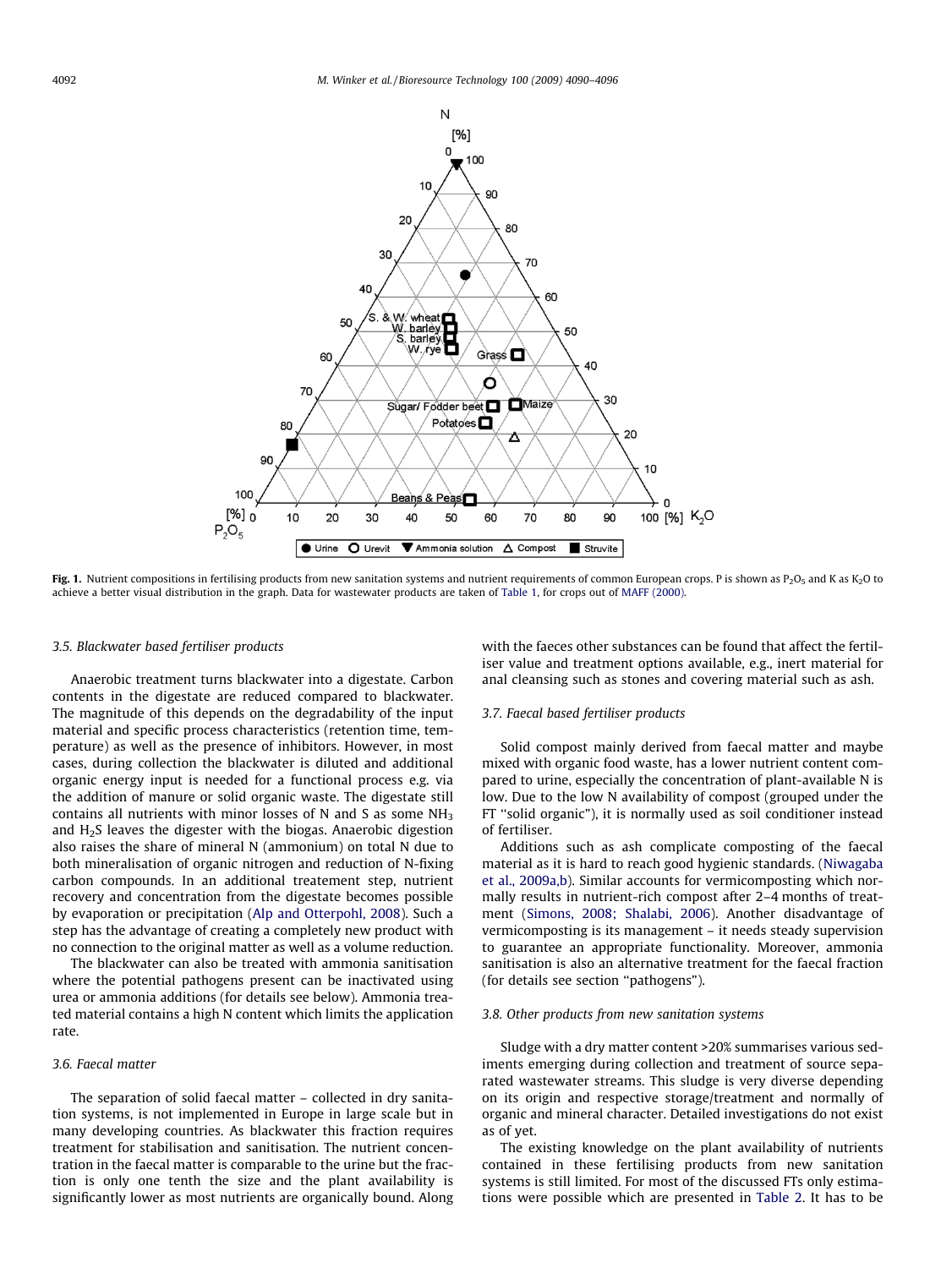<span id="page-2-0"></span>

Fig. 1. Nutrient compositions in fertilising products from new sanitation systems and nutrient requirements of common European crops. P is shown as P<sub>2</sub>O<sub>5</sub> and K as K<sub>2</sub>O to achieve a better visual distribution in the graph. Data for wastewater products are taken of [Table 1](#page-1-0), for crops out of [MAFF \(2000\)](#page-5-0).

#### 3.5. Blackwater based fertiliser products

Anaerobic treatment turns blackwater into a digestate. Carbon contents in the digestate are reduced compared to blackwater. The magnitude of this depends on the degradability of the input material and specific process characteristics (retention time, temperature) as well as the presence of inhibitors. However, in most cases, during collection the blackwater is diluted and additional organic energy input is needed for a functional process e.g. via the addition of manure or solid organic waste. The digestate still contains all nutrients with minor losses of N and S as some  $NH<sub>3</sub>$ and  $H<sub>2</sub>S$  leaves the digester with the biogas. Anaerobic digestion also raises the share of mineral N (ammonium) on total N due to both mineralisation of organic nitrogen and reduction of N-fixing carbon compounds. In an additional treatement step, nutrient recovery and concentration from the digestate becomes possible by evaporation or precipitation [\(Alp and Otterpohl, 2008\)](#page-5-0). Such a step has the advantage of creating a completely new product with no connection to the original matter as well as a volume reduction.

The blackwater can also be treated with ammonia sanitisation where the potential pathogens present can be inactivated using urea or ammonia additions (for details see below). Ammonia treated material contains a high N content which limits the application rate.

## 3.6. Faecal matter

The separation of solid faecal matter – collected in dry sanitation systems, is not implemented in Europe in large scale but in many developing countries. As blackwater this fraction requires treatment for stabilisation and sanitisation. The nutrient concentration in the faecal matter is comparable to the urine but the fraction is only one tenth the size and the plant availability is significantly lower as most nutrients are organically bound. Along with the faeces other substances can be found that affect the fertiliser value and treatment options available, e.g., inert material for anal cleansing such as stones and covering material such as ash.

## 3.7. Faecal based fertiliser products

Solid compost mainly derived from faecal matter and maybe mixed with organic food waste, has a lower nutrient content compared to urine, especially the concentration of plant-available N is low. Due to the low N availability of compost (grouped under the FT ''solid organic"), it is normally used as soil conditioner instead of fertiliser.

Additions such as ash complicate composting of the faecal material as it is hard to reach good hygienic standards. [\(Niwagaba](#page-5-0) [et al., 2009a,b\)](#page-5-0). Similar accounts for vermicomposting which normally results in nutrient-rich compost after 2–4 months of treatment ([Simons, 2008; Shalabi, 2006\)](#page-5-0). Another disadvantage of vermicomposting is its management – it needs steady supervision to guarantee an appropriate functionality. Moreover, ammonia sanitisation is also an alternative treatment for the faecal fraction (for details see section ''pathogens").

#### 3.8. Other products from new sanitation systems

Sludge with a dry matter content >20% summarises various sediments emerging during collection and treatment of source separated wastewater streams. This sludge is very diverse depending on its origin and respective storage/treatment and normally of organic and mineral character. Detailed investigations do not exist as of yet.

The existing knowledge on the plant availability of nutrients contained in these fertilising products from new sanitation systems is still limited. For most of the discussed FTs only estimations were possible which are presented in [Table 2](#page-3-0). It has to be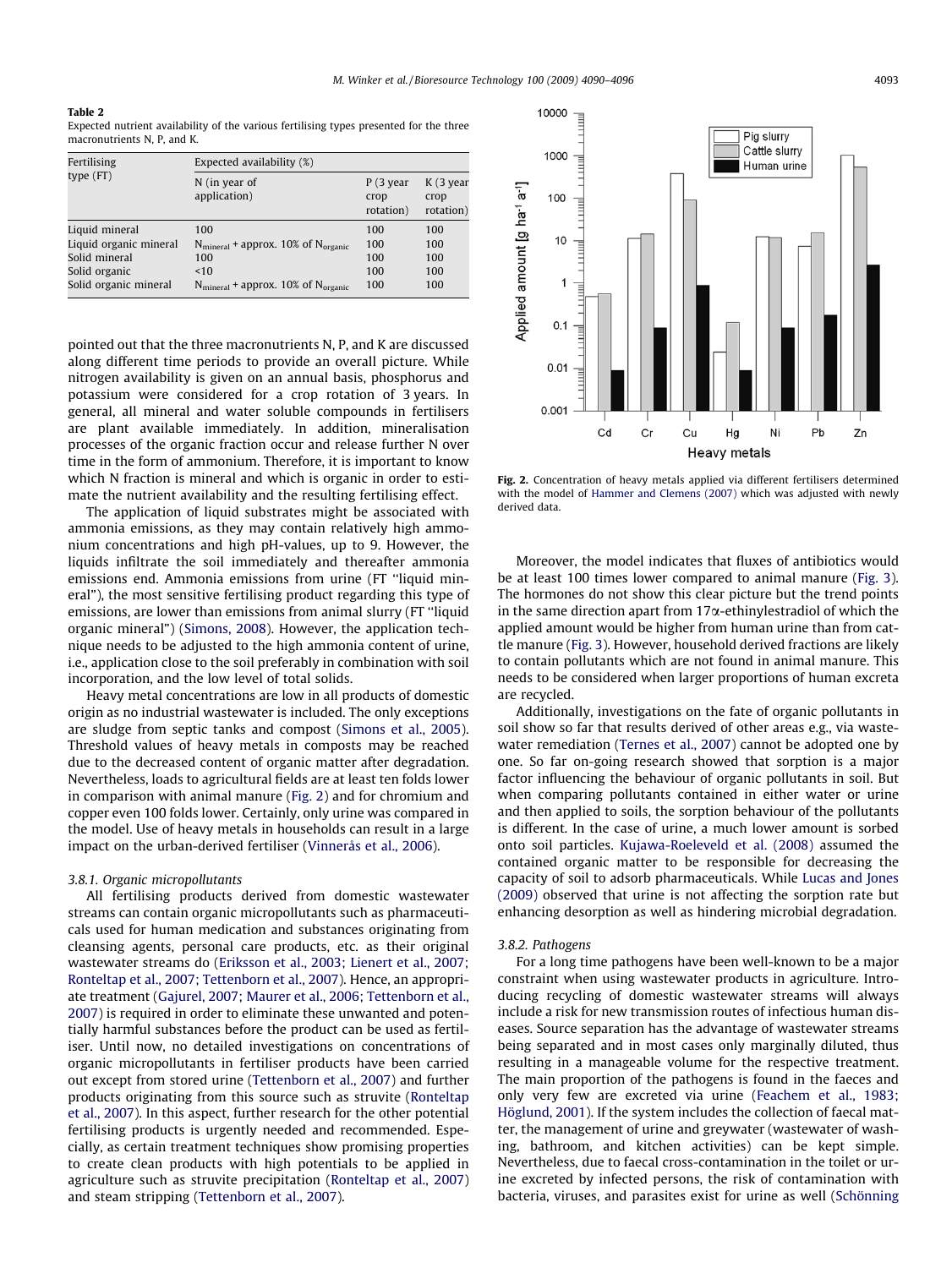#### <span id="page-3-0"></span>Table 2 Expected nutrient availability of the various fertilising types presented for the three macronutrients N, P, and K.

| Fertilising            | Expected availability (%)                                         |                                 |                                  |  |  |  |  |  |
|------------------------|-------------------------------------------------------------------|---------------------------------|----------------------------------|--|--|--|--|--|
| type (FT)              | N (in year of<br>application)                                     | $P(3$ year<br>crop<br>rotation) | $K(3)$ year<br>crop<br>rotation) |  |  |  |  |  |
| Liquid mineral         | 100                                                               | 100                             | 100                              |  |  |  |  |  |
| Liquid organic mineral | $N_{\text{mineral}} + \text{approx. 10\% of } N_{\text{organic}}$ | 100                             | 100                              |  |  |  |  |  |
| Solid mineral          | 100                                                               | 100                             | 100                              |  |  |  |  |  |
| Solid organic          | <10                                                               | 100                             | 100                              |  |  |  |  |  |
| Solid organic mineral  | $N_{\text{mineral}} + \text{approx. 10\% of } N_{\text{organic}}$ | 100                             | 100                              |  |  |  |  |  |

pointed out that the three macronutrients N, P, and K are discussed along different time periods to provide an overall picture. While nitrogen availability is given on an annual basis, phosphorus and potassium were considered for a crop rotation of 3 years. In general, all mineral and water soluble compounds in fertilisers are plant available immediately. In addition, mineralisation processes of the organic fraction occur and release further N over time in the form of ammonium. Therefore, it is important to know which N fraction is mineral and which is organic in order to estimate the nutrient availability and the resulting fertilising effect.

The application of liquid substrates might be associated with ammonia emissions, as they may contain relatively high ammonium concentrations and high pH-values, up to 9. However, the liquids infiltrate the soil immediately and thereafter ammonia emissions end. Ammonia emissions from urine (FT ''liquid mineral"), the most sensitive fertilising product regarding this type of emissions, are lower than emissions from animal slurry (FT ''liquid organic mineral") [\(Simons, 2008\)](#page-5-0). However, the application technique needs to be adjusted to the high ammonia content of urine, i.e., application close to the soil preferably in combination with soil incorporation, and the low level of total solids.

Heavy metal concentrations are low in all products of domestic origin as no industrial wastewater is included. The only exceptions are sludge from septic tanks and compost ([Simons et al., 2005\)](#page-5-0). Threshold values of heavy metals in composts may be reached due to the decreased content of organic matter after degradation. Nevertheless, loads to agricultural fields are at least ten folds lower in comparison with animal manure (Fig. 2) and for chromium and copper even 100 folds lower. Certainly, only urine was compared in the model. Use of heavy metals in households can result in a large impact on the urban-derived fertiliser ([Vinnerås et al., 2006\)](#page-6-0).

# 3.8.1. Organic micropollutants

All fertilising products derived from domestic wastewater streams can contain organic micropollutants such as pharmaceuticals used for human medication and substances originating from cleansing agents, personal care products, etc. as their original wastewater streams do [\(Eriksson et al., 2003; Lienert et al., 2007;](#page-5-0) [Ronteltap et al., 2007; Tettenborn et al., 2007\)](#page-5-0). Hence, an appropriate treatment [\(Gajurel, 2007; Maurer et al., 2006; Tettenborn et al.,](#page-5-0) [2007](#page-5-0)) is required in order to eliminate these unwanted and potentially harmful substances before the product can be used as fertiliser. Until now, no detailed investigations on concentrations of organic micropollutants in fertiliser products have been carried out except from stored urine [\(Tettenborn et al., 2007\)](#page-6-0) and further products originating from this source such as struvite [\(Ronteltap](#page-5-0) [et al., 2007](#page-5-0)). In this aspect, further research for the other potential fertilising products is urgently needed and recommended. Especially, as certain treatment techniques show promising properties to create clean products with high potentials to be applied in agriculture such as struvite precipitation [\(Ronteltap et al., 2007\)](#page-5-0) and steam stripping [\(Tettenborn et al., 2007\)](#page-6-0).



Fig. 2. Concentration of heavy metals applied via different fertilisers determined with the model of [Hammer and Clemens \(2007\)](#page-5-0) which was adjusted with newly derived data.

Moreover, the model indicates that fluxes of antibiotics would be at least 100 times lower compared to animal manure ([Fig. 3\)](#page-4-0). The hormones do not show this clear picture but the trend points in the same direction apart from  $17\alpha$ -ethinylestradiol of which the applied amount would be higher from human urine than from cattle manure ([Fig. 3](#page-4-0)). However, household derived fractions are likely to contain pollutants which are not found in animal manure. This needs to be considered when larger proportions of human excreta are recycled.

Additionally, investigations on the fate of organic pollutants in soil show so far that results derived of other areas e.g., via wastewater remediation ([Ternes et al., 2007\)](#page-6-0) cannot be adopted one by one. So far on-going research showed that sorption is a major factor influencing the behaviour of organic pollutants in soil. But when comparing pollutants contained in either water or urine and then applied to soils, the sorption behaviour of the pollutants is different. In the case of urine, a much lower amount is sorbed onto soil particles. [Kujawa-Roeleveld et al. \(2008\)](#page-5-0) assumed the contained organic matter to be responsible for decreasing the capacity of soil to adsorb pharmaceuticals. While [Lucas and Jones](#page-5-0) [\(2009\)](#page-5-0) observed that urine is not affecting the sorption rate but enhancing desorption as well as hindering microbial degradation.

#### 3.8.2. Pathogens

For a long time pathogens have been well-known to be a major constraint when using wastewater products in agriculture. Introducing recycling of domestic wastewater streams will always include a risk for new transmission routes of infectious human diseases. Source separation has the advantage of wastewater streams being separated and in most cases only marginally diluted, thus resulting in a manageable volume for the respective treatment. The main proportion of the pathogens is found in the faeces and only very few are excreted via urine ([Feachem et al., 1983;](#page-5-0) [Höglund, 2001\)](#page-5-0). If the system includes the collection of faecal matter, the management of urine and greywater (wastewater of washing, bathroom, and kitchen activities) can be kept simple. Nevertheless, due to faecal cross-contamination in the toilet or urine excreted by infected persons, the risk of contamination with bacteria, viruses, and parasites exist for urine as well [\(Schönning](#page-5-0)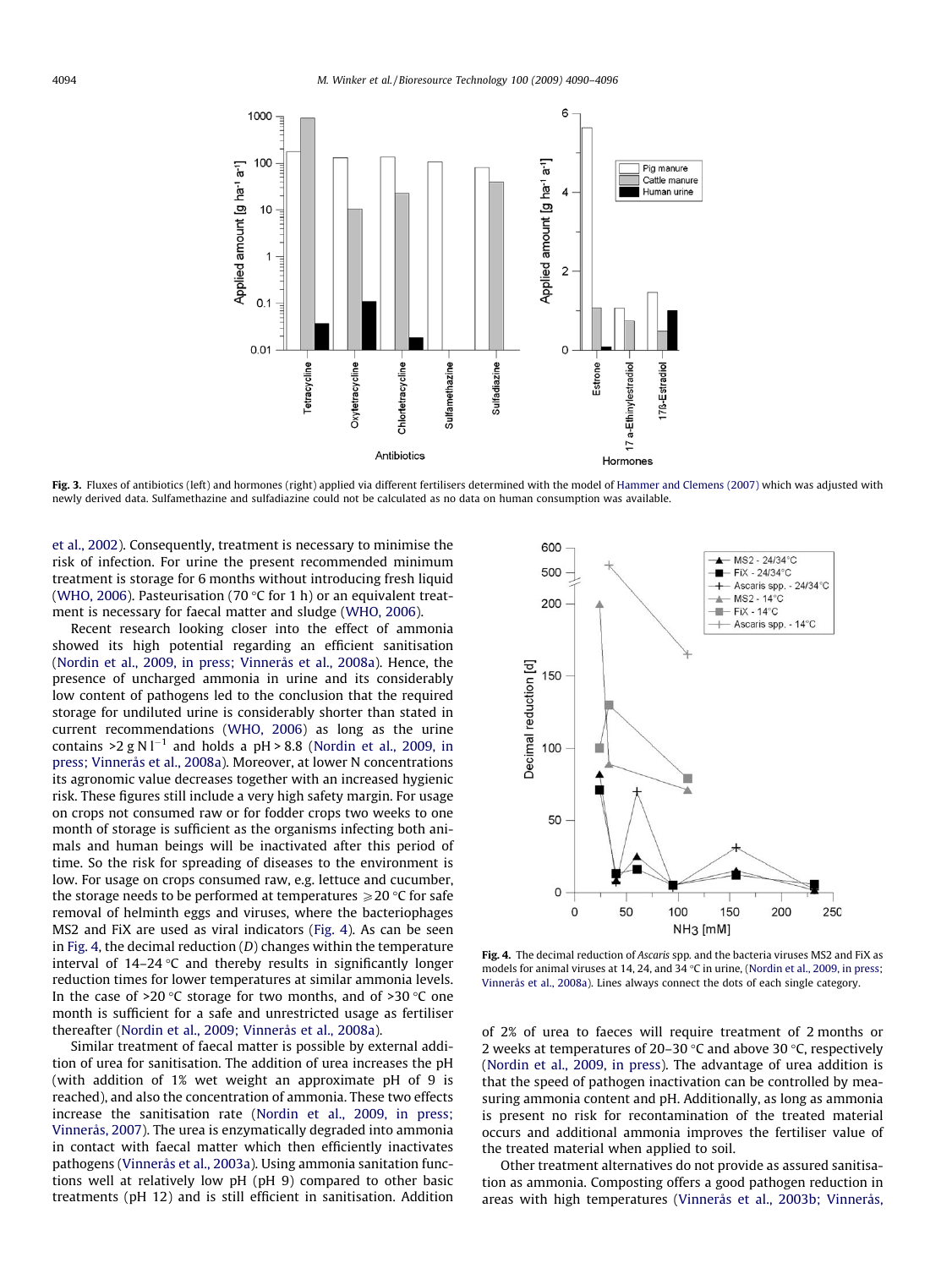<span id="page-4-0"></span>

Fig. 3. Fluxes of antibiotics (left) and hormones (right) applied via different fertilisers determined with the model of [Hammer and Clemens \(2007\)](#page-5-0) which was adjusted with newly derived data. Sulfamethazine and sulfadiazine could not be calculated as no data on human consumption was available.

[et al., 2002\)](#page-5-0). Consequently, treatment is necessary to minimise the risk of infection. For urine the present recommended minimum treatment is storage for 6 months without introducing fresh liquid ([WHO, 2006](#page-6-0)). Pasteurisation (70  $\degree$ C for 1 h) or an equivalent treatment is necessary for faecal matter and sludge [\(WHO, 2006](#page-6-0)).

Recent research looking closer into the effect of ammonia showed its high potential regarding an efficient sanitisation ([Nordin et al., 2009, in press; Vinnerås et al., 2008a\)](#page-5-0). Hence, the presence of uncharged ammonia in urine and its considerably low content of pathogens led to the conclusion that the required storage for undiluted urine is considerably shorter than stated in current recommendations ([WHO, 2006](#page-6-0)) as long as the urine contains >2 g N  $l^{-1}$  and holds a pH > 8.8 [\(Nordin et al., 2009, in](#page-5-0) [press; Vinnerås et al., 2008a\)](#page-5-0). Moreover, at lower N concentrations its agronomic value decreases together with an increased hygienic risk. These figures still include a very high safety margin. For usage on crops not consumed raw or for fodder crops two weeks to one month of storage is sufficient as the organisms infecting both animals and human beings will be inactivated after this period of time. So the risk for spreading of diseases to the environment is low. For usage on crops consumed raw, e.g. lettuce and cucumber, the storage needs to be performed at temperatures  $\geq 20$  °C for safe removal of helminth eggs and viruses, where the bacteriophages MS2 and FiX are used as viral indicators (Fig. 4). As can be seen in Fig. 4, the decimal reduction  $(D)$  changes within the temperature interval of  $14-24$  °C and thereby results in significantly longer reduction times for lower temperatures at similar ammonia levels. In the case of  $>20$  °C storage for two months, and of  $>30$  °C one month is sufficient for a safe and unrestricted usage as fertiliser thereafter ([Nordin et al., 2009; Vinnerås et al., 2008a\)](#page-5-0).

Similar treatment of faecal matter is possible by external addition of urea for sanitisation. The addition of urea increases the pH (with addition of 1% wet weight an approximate pH of 9 is reached), and also the concentration of ammonia. These two effects increase the sanitisation rate [\(Nordin et al., 2009, in press;](#page-5-0) [Vinnerås, 2007\)](#page-5-0). The urea is enzymatically degraded into ammonia in contact with faecal matter which then efficiently inactivates pathogens ([Vinnerås et al., 2003a\)](#page-6-0). Using ammonia sanitation functions well at relatively low pH (pH 9) compared to other basic treatments (pH 12) and is still efficient in sanitisation. Addition



Fig. 4. The decimal reduction of Ascaris spp. and the bacteria viruses MS2 and FiX as models for animal viruses at 14, 24, and  $34^{\circ}$ C in urine, ([Nordin et al., 2009, in press](#page-5-0); [Vinnerås et al., 2008a\)](#page-6-0). Lines always connect the dots of each single category.

of 2% of urea to faeces will require treatment of 2 months or 2 weeks at temperatures of 20–30  $\degree$ C and above 30  $\degree$ C, respectively ([Nordin et al., 2009, in press\)](#page-5-0). The advantage of urea addition is that the speed of pathogen inactivation can be controlled by measuring ammonia content and pH. Additionally, as long as ammonia is present no risk for recontamination of the treated material occurs and additional ammonia improves the fertiliser value of the treated material when applied to soil.

Other treatment alternatives do not provide as assured sanitisation as ammonia. Composting offers a good pathogen reduction in areas with high temperatures ([Vinnerås et al., 2003b; Vinnerås,](#page-6-0)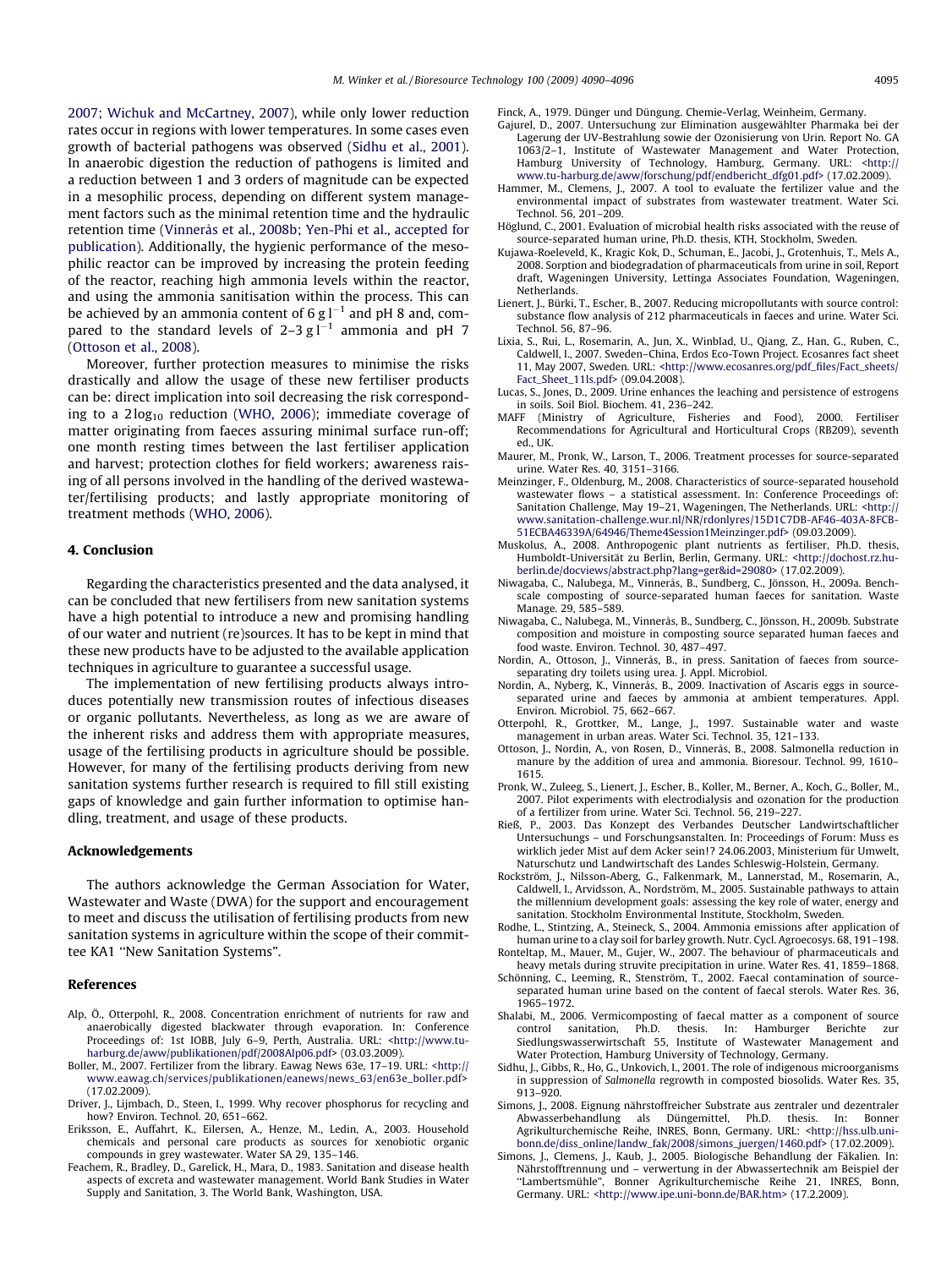<span id="page-5-0"></span>[2007; Wichuk and McCartney, 2007](#page-6-0)), while only lower reduction rates occur in regions with lower temperatures. In some cases even growth of bacterial pathogens was observed (Sidhu et al., 2001). In anaerobic digestion the reduction of pathogens is limited and a reduction between 1 and 3 orders of magnitude can be expected in a mesophilic process, depending on different system management factors such as the minimal retention time and the hydraulic retention time [\(Vinnerås et al., 2008b; Yen-Phi et al., accepted for](#page-6-0) [publication](#page-6-0)). Additionally, the hygienic performance of the mesophilic reactor can be improved by increasing the protein feeding of the reactor, reaching high ammonia levels within the reactor, and using the ammonia sanitisation within the process. This can be achieved by an ammonia content of 6 g l $^{-1}$  and pH 8 and, compared to the standard levels of 2–3  $g l^{-1}$  ammonia and pH 7 (Ottoson et al., 2008).

Moreover, further protection measures to minimise the risks drastically and allow the usage of these new fertiliser products can be: direct implication into soil decreasing the risk corresponding to a  $2\log_{10}$  reduction [\(WHO, 2006](#page-6-0)); immediate coverage of matter originating from faeces assuring minimal surface run-off; one month resting times between the last fertiliser application and harvest; protection clothes for field workers; awareness raising of all persons involved in the handling of the derived wastewater/fertilising products; and lastly appropriate monitoring of treatment methods ([WHO, 2006](#page-6-0)).

## 4. Conclusion

Regarding the characteristics presented and the data analysed, it can be concluded that new fertilisers from new sanitation systems have a high potential to introduce a new and promising handling of our water and nutrient (re)sources. It has to be kept in mind that these new products have to be adjusted to the available application techniques in agriculture to guarantee a successful usage.

The implementation of new fertilising products always introduces potentially new transmission routes of infectious diseases or organic pollutants. Nevertheless, as long as we are aware of the inherent risks and address them with appropriate measures, usage of the fertilising products in agriculture should be possible. However, for many of the fertilising products deriving from new sanitation systems further research is required to fill still existing gaps of knowledge and gain further information to optimise handling, treatment, and usage of these products.

# Acknowledgements

The authors acknowledge the German Association for Water, Wastewater and Waste (DWA) for the support and encouragement to meet and discuss the utilisation of fertilising products from new sanitation systems in agriculture within the scope of their committee KA1 ''New Sanitation Systems".

# References

- Alp, Ö., Otterpohl, R., 2008. Concentration enrichment of nutrients for raw and anaerobically digested blackwater through evaporation. In: Conference Proceedings of: 1st IOBB, July 6–9, Perth, Australia. URL: [<http://www.tu](http://www.tu-harburg.de/aww/publikationen/pdf/2008Alp06.pdf)[harburg.de/aww/publikationen/pdf/2008Alp06.pdf>](http://www.tu-harburg.de/aww/publikationen/pdf/2008Alp06.pdf) (03.03.2009).
- Boller, M., 2007. Fertilizer from the library. Eawag News 63e, 17–19. URL: [<http://](http://www.eawag.ch/services/publikationen/eanews/news_63/en63e_boller.pdf) [www.eawag.ch/services/publikationen/eanews/news\\_63/en63e\\_boller.pdf>](http://www.eawag.ch/services/publikationen/eanews/news_63/en63e_boller.pdf) (17.02.2009).
- Driver, J., Lijmbach, D., Steen, I., 1999. Why recover phosphorus for recycling and how? Environ. Technol. 20, 651–662.
- Eriksson, E., Auffahrt, K., Eilersen, A., Henze, M., Ledin, A., 2003. Household chemicals and personal care products as sources for xenobiotic organic compounds in grey wastewater. Water SA 29, 135–146.
- Feachem, R., Bradley, D., Garelick, H., Mara, D., 1983. Sanitation and disease health aspects of excreta and wastewater management. World Bank Studies in Water Supply and Sanitation, 3. The World Bank, Washington, USA.

Finck, A., 1979. Dünger und Düngung. Chemie-Verlag, Weinheim, Germany.

- Gajurel, D., 2007. Untersuchung zur Elimination ausgewählter Pharmaka bei der Lagerung der UV-Bestrahlung sowie der Ozonisierung von Urin. Report No. GA 1063/2–1, Institute of Wastewater Management and Water Protection, Hamburg University of Technology, Hamburg, Germany. URL: [<http://](http://www.tu-harburg.de/aww/forschung/pdf/endbericht_dfg01.pdf) [www.tu-harburg.de/aww/forschung/pdf/endbericht\\_dfg01.pdf>](http://www.tu-harburg.de/aww/forschung/pdf/endbericht_dfg01.pdf) (17.02.2009).
- Hammer, M., Clemens, J., 2007. A tool to evaluate the fertilizer value and the environmental impact of substrates from wastewater treatment. Water Sci. Technol. 56, 201–209.
- Höglund, C., 2001. Evaluation of microbial health risks associated with the reuse of source-separated human urine, Ph.D. thesis, KTH, Stockholm, Sweden.
- Kujawa-Roeleveld, K., Kragic Kok, D., Schuman, E., Jacobi, J., Grotenhuis, T., Mels A., 2008. Sorption and biodegradation of pharmaceuticals from urine in soil, Report draft, Wageningen University, Lettinga Associates Foundation, Wageningen, Netherlands.
- Lienert, J., Bürki, T., Escher, B., 2007. Reducing micropollutants with source control: substance flow analysis of 212 pharmaceuticals in faeces and urine. Water Sci. Technol. 56, 87–96.
- Lixia, S., Rui, L., Rosemarin, A., Jun, X., Winblad, U., Qiang, Z., Han, G., Ruben, C., Caldwell, I., 2007. Sweden–China, Erdos Eco-Town Project. Ecosanres fact sheet 11, May 2007, Sweden. URL: [<http://www.ecosanres.org/pdf\\_files/Fact\\_sheets/](http://www.ecosanres.org/pdf_files/Fact_sheets/Fact_Sheet_11ls.pdf) [Fact\\_Sheet\\_11ls.pdf>](http://www.ecosanres.org/pdf_files/Fact_sheets/Fact_Sheet_11ls.pdf) (09.04.2008).
- Lucas, S., Jones, D., 2009. Urine enhances the leaching and persistence of estrogens in soils. Soil Biol. Biochem. 41, 236–242.
- MAFF (Ministry of Agriculture, Fisheries and Food), 2000. Fertiliser Recommendations for Agricultural and Horticultural Crops (RB209), seventh ed., UK.
- Maurer, M., Pronk, W., Larson, T., 2006. Treatment processes for source-separated urine. Water Res. 40, 3151–3166.
- Meinzinger, F., Oldenburg, M., 2008. Characteristics of source-separated household wastewater flows – a statistical assessment. In: Conference Proceedings of: Sanitation Challenge, May 19-21, Wageningen, The Netherlands. URL: [<http://](http://www.sanitation-challenge.wur.nl/NR/rdonlyres/15D1C7DB-AF46-403A-8FCB-51ECBA46339A/64946/Theme4Session1Meinzinger.pdf) [www.sanitation-challenge.wur.nl/NR/rdonlyres/15D1C7DB-AF46-403A-8FCB-](http://www.sanitation-challenge.wur.nl/NR/rdonlyres/15D1C7DB-AF46-403A-8FCB-51ECBA46339A/64946/Theme4Session1Meinzinger.pdf)[51ECBA46339A/64946/Theme4Session1Meinzinger.pdf>](http://www.sanitation-challenge.wur.nl/NR/rdonlyres/15D1C7DB-AF46-403A-8FCB-51ECBA46339A/64946/Theme4Session1Meinzinger.pdf) (09.03.2009).
- Muskolus, A., 2008. Anthropogenic plant nutrients as fertiliser, Ph.D. thesis, Humboldt-Universität zu Berlin, Berlin, Germany. URL: [<http://dochost.rz.hu](http://dochost.rz.hu-berlin.de/docviews/abstract.php?lang=ger&id=29080)[berlin.de/docviews/abstract.php?lang=ger&id=29080>](http://dochost.rz.hu-berlin.de/docviews/abstract.php?lang=ger&id=29080) (17.02.2009).
- Niwagaba, C., Nalubega, M., Vinnerås, B., Sundberg, C., Jönsson, H., 2009a. Benchscale composting of source-separated human faeces for sanitation. Waste Manage. 29, 585-589.
- Niwagaba, C., Nalubega, M., Vinnerås, B., Sundberg, C., Jönsson, H., 2009b. Substrate composition and moisture in composting source separated human faeces and food waste. Environ. Technol. 30, 487–497.
- Nordin, A., Ottoson, J., Vinnerås, B., in press. Sanitation of faeces from sourceseparating dry toilets using urea. J. Appl. Microbiol.
- Nordin, A., Nyberg, K., Vinnerås, B., 2009. Inactivation of Ascaris eggs in sourceseparated urine and faeces by ammonia at ambient temperatures. Appl. Environ. Microbiol. 75, 662–667.
- Otterpohl, R., Grottker, M., Lange, J., 1997. Sustainable water and waste management in urban areas. Water Sci. Technol. 35, 121–133.
- Ottoson, J., Nordin, A., von Rosen, D., Vinnerås, B., 2008. Salmonella reduction in manure by the addition of urea and ammonia. Bioresour. Technol. 99, 1610– 1615.
- Pronk, W., Zuleeg, S., Lienert, J., Escher, B., Koller, M., Berner, A., Koch, G., Boller, M., 2007. Pilot experiments with electrodialysis and ozonation for the production of a fertilizer from urine. Water Sci. Technol. 56, 219–227.
- Rieß, P., 2003. Das Konzept des Verbandes Deutscher Landwirtschaftlicher Untersuchungs – und Forschungsanstalten. In: Proceedings of Forum: Muss es wirklich jeder Mist auf dem Acker sein!? 24.06.2003, Ministerium für Umwelt, Naturschutz und Landwirtschaft des Landes Schleswig-Holstein, Germany.
- Rockström, J., Nilsson-Aberg, G., Falkenmark, M., Lannerstad, M., Rosemarin, A., Caldwell, I., Arvidsson, A., Nordström, M., 2005. Sustainable pathways to attain the millennium development goals: assessing the key role of water, energy and sanitation. Stockholm Environmental Institute, Stockholm, Sweden.
- Rodhe, L., Stintzing, A., Steineck, S., 2004. Ammonia emissions after application of human urine to a clay soil for barley growth. Nutr. Cycl. Agroecosys. 68, 191–198.
- Ronteltap, M., Mauer, M., Gujer, W., 2007. The behaviour of pharmaceuticals and heavy metals during struvite precipitation in urine. Water Res. 41, 1859–1868.
- Schönning, C., Leeming, R., Stenström, T., 2002. Faecal contamination of sourceseparated human urine based on the content of faecal sterols. Water Res. 36, 1965–1972.
- Shalabi, M., 2006. Vermicomposting of faecal matter as a component of source control sanitation, Ph.D. thesis. In: Hamburger Berichte zur Siedlungswasserwirtschaft 55, Institute of Wastewater Management and Water Protection, Hamburg University of Technology, Germany.
- Sidhu, J., Gibbs, R., Ho, G., Unkovich, I., 2001. The role of indigenous microorganisms in suppression of Salmonella regrowth in composted biosolids. Water Res. 35, 913–920.
- Simons, J., 2008. Eignung nährstoffreicher Substrate aus zentraler und dezentraler Abwasserbehandlung als Düngemittel, Ph.D. thesis. In: Bonner Agrikulturchemische Reihe, INRES, Bonn, Germany. URL: <[http://hss.ulb.uni](http://hss.ulb.uni-bonn.de/diss_online/landw_fak/2008/simons_juergen/1460.pdf)[bonn.de/diss\\_online/landw\\_fak/2008/simons\\_juergen/1460.pdf](http://hss.ulb.uni-bonn.de/diss_online/landw_fak/2008/simons_juergen/1460.pdf)> (17.02.2009).
- Simons, J., Clemens, J., Kaub, J., 2005. Biologische Behandlung der Fäkalien. In: Nährstofftrennung und – verwertung in der Abwassertechnik am Beispiel der ''Lambertsmühle", Bonner Agrikulturchemische Reihe 21, INRES, Bonn, Germany. URL: [<http://www.ipe.uni-bonn.de/BAR.htm>](http://www.ipe.uni-bonn.de/BAR.htm) (17.2.2009).